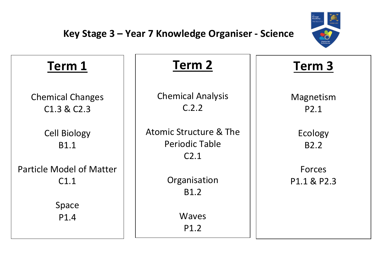

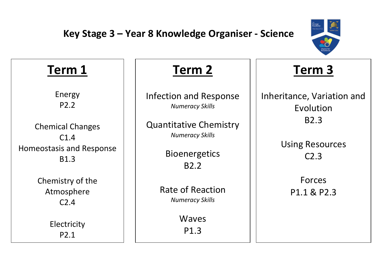

### **Term 1** Energy P2.2 Chemical Changes C1.4 Homeostasis and Response B1.3 Chemistry of the Atmosphere C2.4 Electricity P2.1 **Term 2** Infection and Response *Numeracy Skills* Quantitative Chemistry *Numeracy Skills* **Bioenergetics** B2.2 Rate of Reaction *Numeracy Skills* Waves P1.3 **Term 3** Inheritance, Variation and Evolution B2.3 Using Resources C2.3 Forces P1.1 & P2.3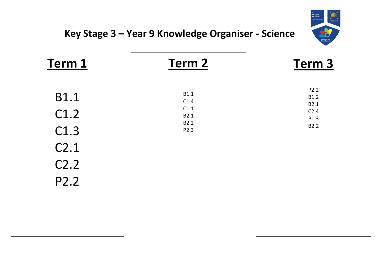

| Term 1           | Term 2      | Term <sub>3</sub> |
|------------------|-------------|-------------------|
| <b>B1.1</b>      | <b>B1.1</b> | P2.2              |
| C1.2             | C1.4        | <b>B1.2</b>       |
| C1.3             | C1.1        | B2.1              |
| C <sub>2.1</sub> | B2.1        | C <sub>2.4</sub>  |
| C <sub>2.2</sub> | <b>B2.2</b> | P1.3              |
| P2.2             | P2.3        | B2.2              |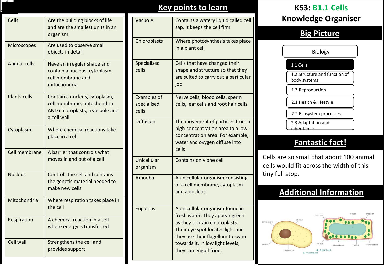| Cells               | Are the building blocks of life<br>and are the smallest units in an<br>organism                                |
|---------------------|----------------------------------------------------------------------------------------------------------------|
| <b>Microscopes</b>  | Are used to observe small<br>objects in detail                                                                 |
| <b>Animal cells</b> | Have an irregular shape and<br>contain a nucleus, cytoplasm,<br>cell membrane and<br>mitochondria              |
| <b>Plants cells</b> | Contain a nucleus, cytoplasm,<br>cell membrane, mitochondria<br>AND chloroplasts, a vacuole and<br>a cell wall |
| Cytoplasm           | Where chemical reactions take<br>place in a cell                                                               |
| Cell membrane       | A barrier that controls what<br>moves in and out of a cell                                                     |
| <b>Nucleus</b>      | Controls the cell and contains<br>the genetic material needed to<br>make new cells                             |
| Mitochondria        | Where respiration takes place in<br>the cell                                                                   |
| Respiration         | A chemical reaction in a cell<br>where energy is transferred                                                   |
| Cell wall           | Strengthens the cell and<br>provides support                                                                   |

### **Key points to learn KS3: B1.1 Cells**

| Vacuole                                    | Contains a watery liquid called cell<br>sap. It keeps the cell firm                                                                                                                                                                     |
|--------------------------------------------|-----------------------------------------------------------------------------------------------------------------------------------------------------------------------------------------------------------------------------------------|
| Chloroplasts                               | Where photosynthesis takes place<br>in a plant cell                                                                                                                                                                                     |
| Specialised<br>cells                       | Cells that have changed their<br>shape and structure so that they<br>are suited to carry out a particular<br>job                                                                                                                        |
| <b>Examples of</b><br>specialised<br>cells | Nerve cells, blood cells, sperm<br>cells, leaf cells and root hair cells                                                                                                                                                                |
| <b>Diffusion</b>                           | The movement of particles from a<br>high-concentration area to a low-<br>concentration area. For example,<br>water and oxygen diffuse into<br>cells                                                                                     |
| Unicellular<br>organism                    | Contains only one cell                                                                                                                                                                                                                  |
| Amoeba                                     | A unicellular organism consisting<br>of a cell membrane, cytoplasm<br>and a nucleus.                                                                                                                                                    |
| <b>Euglenas</b>                            | A unicellular organism found in<br>fresh water. They appear green<br>as they contain chloroplasts.<br>Their eye spot locates light and<br>they use their flagellum to swim<br>towards it. In low light levels,<br>they can engulf food. |

# **Knowledge Organiser**

# **Big Picture**

Biology

### 1.1 Cells

1.2 Structure and function of body systems

1.3 Reproduction

2.1 Health & lifestyle

2.2 Ecosystem processes

2.3 Adaptation and

### inheritance

# **Fantastic fact!**

Cells are so small that about 100 animal cells would fit across the width of this tiny full stop.

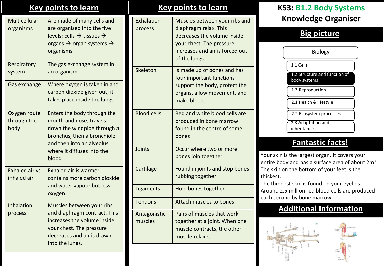| Multicellular<br>organisms           | Are made of many cells and<br>are organised into the five<br>levels: cells $\rightarrow$ tissues $\rightarrow$<br>organs $\rightarrow$ organ systems $\rightarrow$<br>organisms          |
|--------------------------------------|------------------------------------------------------------------------------------------------------------------------------------------------------------------------------------------|
| Respiratory<br>system                | The gas exchange system in<br>an organism                                                                                                                                                |
| Gas exchange                         | Where oxygen is taken in and<br>carbon dioxide given out; it<br>takes place inside the lungs                                                                                             |
| Oxygen route<br>through the<br>body  | Enters the body through the<br>mouth and nose, travels<br>down the windpipe through a<br>bronchus, then a bronchiole<br>and then into an alveolus<br>where it diffuses into the<br>blood |
| <b>Exhaled air vs</b><br>inhaled air | Exhaled air is warmer,<br>contains more carbon dioxide<br>and water vapour but less<br>oxygen                                                                                            |
| Inhalation<br>process                | Muscles between your ribs<br>and diaphragm contract. This<br>increases the volume inside<br>your chest. The pressure<br>decreases and air is drawn<br>into the lungs.                    |

### **Key points to learn Key points to learn KS3: B1.2 Body Systems** Exhalation process Muscles between your ribs and diaphragm relax. This decreases the volume inside your chest. The pressure increases and air is forced out of the lungs. Skeleton  $\vert$  Is made up of bones and has four important functions – support the body, protect the organs, allow movement, and make blood. Blood cells  $\Box$  Red and white blood cells are produced in bone marrow found in the centre of some bones

# Joints Occur where two or more bones join together Cartilage Found in joints and stop bones rubbing together Ligaments | Hold bones together Tendons **Attach muscles to bones** Antagonistic muscles Pairs of muscles that work together at a joint. When one muscle contracts, the other muscle relaxes

# **Knowledge Organiser**

# **Big picture**

| Biology                                       |
|-----------------------------------------------|
| 1.1 Cells                                     |
| 1.2 Structure and function of<br>body systems |
| 1.3 Reproduction                              |
| 2.1 Health & lifestyle                        |
| 2.2 Ecosystem processes                       |
| <del>2.3 Adaptation and</del><br>inheritance  |

# **Fantastic facts!**

Your skin is the largest organ. It covers your entire body and has a surface area of about  $2m^2$ . The skin on the bottom of your feet is the thickest.

The thinnest skin is found on your eyelids. Around 2.5 million red blood cells are produced each second by bone marrow.

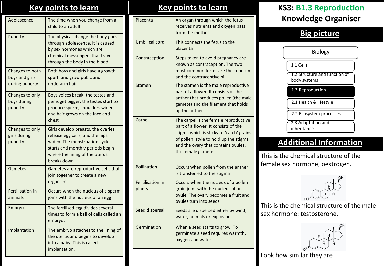## **Key points to learn**

| Adolescence                                         | The time when you change from a<br>child to an adult                                                                                                                                         |
|-----------------------------------------------------|----------------------------------------------------------------------------------------------------------------------------------------------------------------------------------------------|
| Puberty                                             | The physical change the body goes<br>through adolescence. It is caused<br>by sex hormones which are<br>chemical messengers that travel<br>through the body in the blood.                     |
| Changes to both<br>boys and girls<br>during puberty | Both boys and girls have a growth<br>spurt, and grow pubic and<br>underarm hair                                                                                                              |
| Changes to only<br>boys during<br>puberty           | Boys voices break, the testes and<br>penis get bigger, the testes start to<br>produce sperm, shoulders widen<br>and hair grows on the face and<br>chest                                      |
| Changes to only<br>girls during<br>puberty          | Girls develop breasts, the ovaries<br>release egg cells, and the hips<br>widen. The menstruation cycle<br>starts and monthly periods begin<br>where the lining of the uterus<br>breaks down. |
| Gametes                                             | Gametes are reproductive cells that<br>join together to create a new<br>organism                                                                                                             |
| Fertilisation in<br>animals                         | Occurs when the nucleus of a sperm<br>joins with the nucleus of an egg                                                                                                                       |
| Embryo                                              | The fertilised egg divides several<br>times to form a ball of cells called an<br>embryo.                                                                                                     |
| Implantation                                        | The embryo attaches to the lining of<br>the uterus and begins to develop<br>into a baby. This is called<br>implantation.                                                                     |

## **Key points to learn**

| Placenta                          | An organ through which the fetus<br>receives nutrients and oxygen pass<br>from the mother                                                                                                                                        |
|-----------------------------------|----------------------------------------------------------------------------------------------------------------------------------------------------------------------------------------------------------------------------------|
| <b>Umbilical cord</b>             | This connects the fetus to the<br>placenta                                                                                                                                                                                       |
| Contraception                     | Steps taken to avoid pregnancy are<br>known as contraception. The two<br>most common forms are the condom<br>and the contraceptive pill.                                                                                         |
| Stamen                            | The stamen is the male reproductive<br>part of a flower. It consists of the<br>anther that produces pollen (the male<br>gamete) and the filament that holds<br>up the anther                                                     |
| Carpel                            | The carpel is the female reproductive<br>part of a flower. It consists of the<br>stigma which is sticky to 'catch' grains<br>of pollen, style to hold up the stigma<br>and the ovary that contains ovules,<br>the female gamete. |
| Pollination                       | Occurs when pollen from the anther<br>is transferred to the stigma                                                                                                                                                               |
| <b>Fertilisation in</b><br>plants | Occurs when the nucleus of a pollen<br>grain joins with the nucleus of an<br>ovule. The ovary becomes a fruit and<br>ovules turn into seeds.                                                                                     |
| Seed dispersal                    | Seeds are dispersed either by wind,<br>water, animals or explosion                                                                                                                                                               |
| Germination                       | When a seed starts to grow. To<br>germinate a seed requires warmth,<br>oxygen and water.                                                                                                                                         |

# **KS3: B1.3 Reproduction Knowledge Organiser**

# **Big picture**

| <b>Biology</b>                                |  |
|-----------------------------------------------|--|
| 1.1 Cells                                     |  |
| 1.2 Structure and function of<br>body systems |  |
| 1.3 Reproduction                              |  |
| 2.1 Health & lifestyle                        |  |
| 2.2 Ecosystem processes                       |  |
| 2.3 Adaptation and<br>inheritance             |  |

# **Additional Information**

This is the chemical structure of the female sex hormone; oestrogen.



This is the chemical structure of the male sex hormone: testosterone.



Look how similar they are!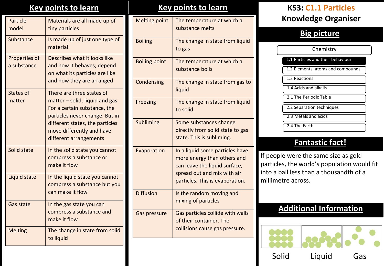### **Key points to learn**

| Particle<br>model            | Materials are all made up of<br>tiny particles                                                                                                                                                                             |
|------------------------------|----------------------------------------------------------------------------------------------------------------------------------------------------------------------------------------------------------------------------|
| Substance                    | Is made up of just one type of<br>material                                                                                                                                                                                 |
| Properties of<br>a substance | Describes what it looks like<br>and how it behaves; depend<br>on what its particles are like<br>and how they are arranged                                                                                                  |
| <b>States of</b><br>matter   | There are three states of<br>$matter$ – solid, liquid and gas.<br>For a certain substance, the<br>particles never change. But in<br>different states, the particles<br>move differently and have<br>different arrangements |
| Solid state                  | In the solid state you cannot<br>compress a substance or<br>make it flow                                                                                                                                                   |
| Liquid state                 | In the liquid state you cannot<br>compress a substance but you<br>can make it flow                                                                                                                                         |
| <b>Gas state</b>             | In the gas state you can<br>compress a substance and<br>make it flow                                                                                                                                                       |
| <b>Melting</b>               | The change in state from solid<br>to liquid                                                                                                                                                                                |

### **Key points to learn**

| <b>Melting point</b> | The temperature at which a<br>substance melts                                                                                                                     |
|----------------------|-------------------------------------------------------------------------------------------------------------------------------------------------------------------|
| <b>Boiling</b>       | The change in state from liquid<br>to gas                                                                                                                         |
| <b>Boiling point</b> | The temperature at which a<br>substance boils                                                                                                                     |
| Condensing           | The change in state from gas to<br>liquid                                                                                                                         |
| Freezing             | The change in state from liquid<br>to solid                                                                                                                       |
| <b>Subliming</b>     | Some substances change<br>directly from solid state to gas<br>state. This is subliming.                                                                           |
| Evaporation          | In a liquid some particles have<br>more energy than others and<br>can leave the liquid surface,<br>spread out and mix with air<br>particles. This is evaporation. |
| <b>Diffusion</b>     | Is the random moving and<br>mixing of particles                                                                                                                   |
| Gas pressure         | Gas particles collide with walls<br>of their container. The<br>collisions cause gas pressure.                                                                     |

# **KS3: C1.1 Particles Knowledge Organiser**

# **Big picture**

1.1 Particles and their behaviour 1.2 Elements, atoms and compounds 1.4 Acids and alkalis 2.1 The Periodic Table 2.3 Metals and acids 2.4 The Earth 1.3 Reactions **Chemistry** 2.2 Separation techniques

### **Fantastic fact!**

If people were the same size as gold particles, the world's population would fit into a ball less than a thousandth of a millimetre across.

# **Additional Information**



Solid Liquid Gas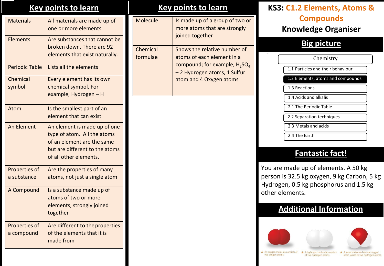## **Key points to learn Key points to learn**

| <b>Materials</b>             | All materials are made up of<br>one or more elements                                                                                                  |
|------------------------------|-------------------------------------------------------------------------------------------------------------------------------------------------------|
| <b>Elements</b>              | Are substances that cannot be<br>broken down. There are 92<br>elements that exist naturally.                                                          |
| <b>Periodic Table</b>        | Lists all the elements                                                                                                                                |
| Chemical<br>symbol           | Every element has its own<br>chemical symbol. For<br>example, Hydrogen - H                                                                            |
| Atom                         | Is the smallest part of an<br>element that can exist                                                                                                  |
| An Element                   | An element is made up of one<br>type of atom. All the atoms<br>of an element are the same<br>but are different to the atoms<br>of all other elements. |
| Properties of<br>a substance | Are the properties of many<br>atoms, not just a single atom                                                                                           |
| A Compound                   | Is a substance made up of<br>atoms of two or more<br>elements, strongly joined<br>together                                                            |
| Properties of<br>a compound  | Are different to the properties<br>of the elements that it is<br>made from                                                                            |

| Molecule             | Is made up of a group of two or<br>more atoms that are strongly<br>joined together                                                                                             |
|----------------------|--------------------------------------------------------------------------------------------------------------------------------------------------------------------------------|
| Chemical<br>formulae | Shows the relative number of<br>atoms of each element in a<br>compound; for example, H <sub>2</sub> SO <sub>4</sub><br>- 2 Hydrogen atoms, 1 Sulfur<br>atom and 4 Oxygen atoms |

# **KS3: C1.2 Elements, Atoms & Compounds Knowledge Organiser**

### **Big picture**

| Chemistry                         |
|-----------------------------------|
| 1.1 Particles and their behaviour |
| 1.2 Elements, atoms and compounds |
| 1.3 Reactions                     |
| 1.4 Acids and alkalis             |
| 2.1 The Periodic Table            |
| 2.2 Separation techniques         |
| 2.3 Metals and acids              |
| 2.4 The Earth                     |

# **Fantastic fact!**

You are made up of elements. A 50 kg person is 32.5 kg oxygen, 9 kg Carbon, 5 kg Hydrogen, 0.5 kg phosphorus and 1.5 kg other elements.

# **Additional Information**



A hudrogen molecule consists A A water molecule has one oxugen of two hydrogen atoms. atom joined to two hydrogen atoms.

A An oxygen molecule consists of two oxygen atoms.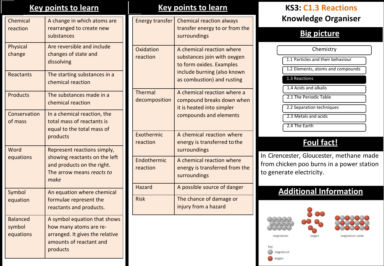| Chemical<br>reaction                   | A change in which atoms are<br>rearranged to create new<br>substances                                                            |
|----------------------------------------|----------------------------------------------------------------------------------------------------------------------------------|
| Physical<br>change                     | Are reversible and include<br>changes of state and<br>dissolving                                                                 |
| Reactants                              | The starting substances in a<br>chemical reaction                                                                                |
| <b>Products</b>                        | The substances made in a<br>chemical reaction                                                                                    |
| Conservation<br>of mass                | In a chemical reaction, the<br>total mass of reactants is<br>equal to the total mass of<br>products                              |
| Word<br>equations                      | Represent reactions simply,<br>showing reactants on the left<br>and products on the right.<br>The arrow means reacts to<br>make  |
| Symbol<br>equation                     | An equation where chemical<br>formulae represent the<br>reactants and products.                                                  |
| <b>Balanced</b><br>symbol<br>equations | A symbol equation that shows<br>how many atoms are re-<br>arranged. It gives the relative<br>amounts of reactant and<br>products |

### **Key points to learn Key points to learn KS3: C1.3 Reactions** Energy transfer  $\vert$  Chemical reaction always transfer energy to or from the surroundings Oxidation reaction A chemical reaction where substances join with oxygen to form oxides. Examples include burning (also known as combustion) and rusting Thermal decomposition A chemical reaction where a compound breaks down when it is heated into simpler compounds and elements Exothermic reaction A chemical reaction where energy is transferred tothe surroundings Endothermic reaction A chemical reaction where energy is transferred from the surroundings

Hazard **A** possible source of danger Risk The chance of damage or injury from a hazard

# **Knowledge Organiser**

# **Big picture**

1.1 Particles and their behaviour 1.2 Elements, atoms and compounds 1.4 Acids and alkalis 2.1 The Periodic Table 2.3 Metals and acids 1.3 Reactions Chemistry 2.2 Separation techniques

# **Foul fact!**

In Cirencester, Gloucester, methane made from chicken poo burns in a power station to generate electricity.

# **Additional Information**



2.4 The Earth



magnesium

magnesium oxide

magnesium oxygen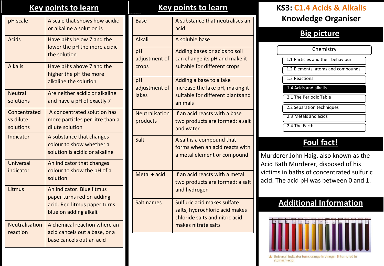| pH scale                               | A scale that shows how acidic<br>or alkaline a solution is                                                       |
|----------------------------------------|------------------------------------------------------------------------------------------------------------------|
| <b>Acids</b>                           | Have pH's below 7 and the<br>lower the pH the more acidic<br>the solution                                        |
| <b>Alkalis</b>                         | Have pH's above 7 and the<br>higher the pH the more<br>alkaline the solution                                     |
| <b>Neutral</b><br>solutions            | Are neither acidic or alkaline<br>and have a pH of exactly 7                                                     |
| Concentrated<br>vs dilute<br>solutions | A concentrated solution has<br>more particles per litre than a<br>dilute solution                                |
| Indicator                              | A substance that changes<br>colour to show whether a<br>solution is acidic or alkaline                           |
| Universal<br>indicator                 | An indicator that changes<br>colour to show the pH of a<br>solution                                              |
| Litmus                                 | An indicator. Blue litmus<br>paper turns red on adding<br>acid. Red litmus paper turns<br>blue on adding alkali. |
| <b>Neutralisation</b><br>reaction      | A chemical reaction where an<br>acid cancels out a base, or a<br>base cancels out an acid                        |

| <b>Base</b>                  | A substance that neutralises an<br>acid                                                                                |
|------------------------------|------------------------------------------------------------------------------------------------------------------------|
| Alkali                       | A soluble base                                                                                                         |
| pH<br>adjustment of<br>crops | Adding bases or acids to soil<br>can change its pH and make it<br>suitable for different crops                         |
| pH<br>adjustment of<br>lakes | Adding a base to a lake<br>increase the lake pH, making it<br>suitable for different plants and<br>animals             |
| Neutralisation<br>products   | If an acid reacts with a base<br>two products are formed; a salt<br>and water                                          |
| Salt                         | A salt is a compound that<br>forms when an acid reacts with<br>a metal element or compound                             |
| Metal + acid                 | If an acid reacts with a metal<br>two products are formed; a salt<br>and hydrogen                                      |
| Salt names                   | Sulfuric acid makes sulfate<br>salts, hydrochloric acid makes<br>chloride salts and nitric acid<br>makes nitrate salts |

# **Key points to learn Key points to learn KS3: C1.4 Acids & Alkalis Knowledge Organiser**

### **Big picture**

1.1 Particles and their behaviour 1.2 Elements, atoms and compounds 1.4 Acids and alkalis 2.1 The Periodic Table 2.3 Metals and acids 1.3 Reactions **Chemistry** 2.2 Separation techniques

# **Foul fact!**

2.4 The Earth

Murderer John Haig, also known as the Acid Bath Murderer, disposed of his victims in baths of concentrated sulfuric acid. The acid pH was between 0 and 1.

# **Additional Information**



▲ Universal indicator turns orange in vinegar. It turns red in stomach acid.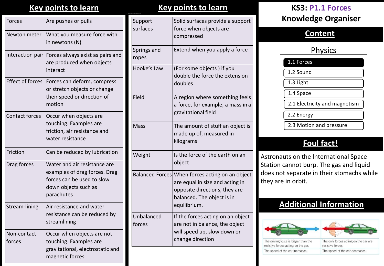| Forces                  | Are pushes or pulls                                                                                                               |
|-------------------------|-----------------------------------------------------------------------------------------------------------------------------------|
| Newton meter            | What you measure force with<br>in newtons (N)                                                                                     |
| Interaction pair        | Forces always exist as pairs and<br>are produced when objects<br>interact                                                         |
| <b>Effect of forces</b> | Forces can deform, compress<br>or stretch objects or change<br>their speed or direction of<br>motion                              |
| <b>Contact forces</b>   | Occur when objects are<br>touching. Examples are<br>friction, air resistance and<br>water resistance                              |
| Friction                | Can be reduced by lubrication                                                                                                     |
| Drag forces             | Water and air resistance are<br>examples of drag forces. Drag<br>forces can be used to slow<br>down objects such as<br>parachutes |
| Stream-lining           | Air resistance and water<br>resistance can be reduced by<br>streamlining                                                          |
| Non-contact<br>forces   | Occur when objects are not<br>touching. Examples are<br>gravitational, electrostatic and<br>magnetic forces                       |

### **Key points to learn Key points to learn KS3: P1.1 Forces**

| Support<br>surfaces    | Solid surfaces provide a support<br>force when objects are<br>compressed                                                                          |
|------------------------|---------------------------------------------------------------------------------------------------------------------------------------------------|
| Springs and<br>ropes   | Extend when you apply a force                                                                                                                     |
| Hooke's Law            | (For some objects) if you<br>double the force the extension<br>doubles                                                                            |
| Field                  | A region where something feels<br>a force, for example, a mass in a<br>gravitational field                                                        |
| <b>Mass</b>            | The amount of stuff an object is<br>made up of, measured in<br>kilograms                                                                          |
| Weight                 | Is the force of the earth on an<br>object                                                                                                         |
| <b>Balanced Forces</b> | When forces acting on an object<br>are equal in size and acting in<br>opposite directions, they are<br>balanced. The object is in<br>equilibrium. |
| Unbalanced<br>forces   | If the forces acting on an object<br>are not in balance, the object<br>will speed up, slow down or<br>change direction                            |

# **Knowledge Organiser**

### **Content**

## **Physics**

1.1 Forces

1.2 Sound

1.3 Light

1.4 Space

2.1 Electricity and magnetism

2.2 Energy

2.3 Motion and pressure

# **Foul fact!**

Astronauts on the International Space Station cannot burp. The gas and liquid does not separate in their stomachs while they are in orbit.

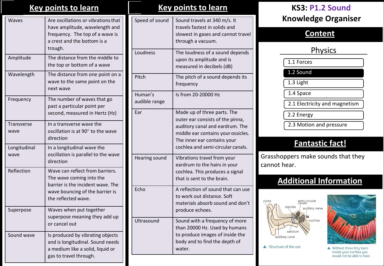|                      | <u>Key points to learn</u>                                                                                                                                 |  |
|----------------------|------------------------------------------------------------------------------------------------------------------------------------------------------------|--|
| Waves                | Are oscillations or vibrations that<br>have amplitude, wavelength and<br>frequency. The top of a wave is<br>a crest and the bottom is a<br>trough.         |  |
| Amplitude            | The distance from the middle to<br>the top or bottom of a wave                                                                                             |  |
| Wavelength           | The distance from one point on a<br>wave to the same point on the<br>next wave                                                                             |  |
| Frequency            | The number of waves that go<br>past a particular point per<br>second, measured in Hertz (Hz)                                                               |  |
| Transverse<br>wave   | In a transverse wave the<br>oscillation is at 90° to the wave<br>direction                                                                                 |  |
| Longitudinal<br>wave | In a longitudinal wave the<br>oscillation is parallel to the wave<br>direction                                                                             |  |
| Reflection           | Wave can reflect from barriers.<br>The wave coming into the<br>barrier is the incident wave. The<br>wave bouncing of the barrier is<br>the reflected wave. |  |
| Superpose            | Waves when put together<br>superpose meaning they add up<br>or cancel out                                                                                  |  |
| Sound wave           | Is produced by vibrating objects<br>and is longitudinal. Sound needs<br>a medium like a solid, liquid or<br>gas to travel through.                         |  |

### **Key points to learn KS3: P1.2 Sound** Speed of sound  $\vert$  Sound travels at 340 m/s. It travels fastest in solids and slowest in gases and cannot travel through a vacuum. Loudness The loudness of a sound depends upon its amplitude and is measured in decibels (dB) Pitch The pitch of a sound depends its frequency Human's audible range Is from 20-20000 Hz Ear Made up of three parts. The outer ear consists of the pinna, auditory canal and eardrum. The middle ear contains your ossicles. The inner ear contains your cochlea and semi-circular canals. Hearing sound Vibrations travel from your eardrum to the hairs in your cochlea. This produces a signal that is sent to the brain. Echo **A** reflection of sound that can use to work out distance. Soft materials absorb sound and don't produce echoes. Ultrasound Sound with a frequency of more than 20000 Hz. Used by humans to produce images of inside the body and to find the depth of water.

# **Knowledge Organiser**

### **Content**

# Physics

1.1 Forces

1.2 Sound

1.3 Light

1.4 Space

2.1 Electricity and magnetism

2.2 Energy

2.3 Motion and pressure

# **Fantastic fact!**

Grasshoppers make sounds that they cannot hear.

# **Additional Information**



▲ Structure of the ear.



Without these tinu hairs inside your cochlea you would not be able to hear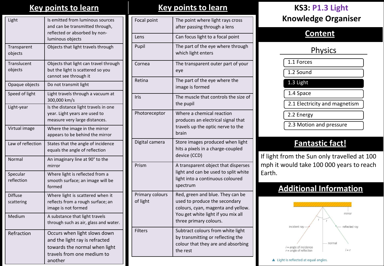# **Key points to learn Key points to learn KS3: P1.3 Light**

| Light                         | Is emitted from luminous sources<br>and can be transmitted through,<br>reflected or absorbed by non-<br>luminous objects                 |
|-------------------------------|------------------------------------------------------------------------------------------------------------------------------------------|
| Transparent<br>objects        | Objects that light travels through                                                                                                       |
| <b>Translucent</b><br>objects | Objects that light can travel through<br>but the light is scattered so you<br>cannot see through it                                      |
| Opaque objects                | Do not transmit light                                                                                                                    |
| Speed of light                | Light travels through a vacuum at<br>300,000 km/s                                                                                        |
| Light-year                    | Is the distance light travels in one<br>year. Light years are used to<br>measure very large distances.                                   |
| Virtual image                 | Where the image in the mirror<br>appears to be behind the mirror                                                                         |
| Law of reflection             | States that the angle of incidence<br>equals the angle of reflection                                                                     |
| Normal                        | An imaginary line at 90° to the<br>mirror                                                                                                |
| Specular<br>reflection        | Where light is reflected from a<br>smooth surface; an image will be<br>formed                                                            |
| <b>Diffuse</b><br>scattering  | Where light is scattered when it<br>reflects from a rough surface; an<br>image is not formed                                             |
| Medium                        | A substance that light travels<br>through such as air, glass and water.                                                                  |
| Refraction                    | Occurs when light slows down<br>and the light ray is refracted<br>towards the normal when light<br>travels from one medium to<br>another |

| Focal point                 | The point where light rays cross<br>after passing through a lens                                                                                                        |
|-----------------------------|-------------------------------------------------------------------------------------------------------------------------------------------------------------------------|
| Lens                        | Can focus light to a focal point                                                                                                                                        |
| Pupil                       | The part of the eye where through<br>which light enters                                                                                                                 |
| Cornea                      | The transparent outer part of your<br>eye                                                                                                                               |
| Retina                      | The part of the eye where the<br>image is formed                                                                                                                        |
| <b>Iris</b>                 | The muscle that controls the size of<br>the pupil                                                                                                                       |
| Photoreceptor               | Where a chemical reaction<br>produces an electrical signal that<br>travels up the optic nerve to the<br>brain                                                           |
| Digital camera              | Store images produced when light<br>hits a pixels in a charge-coupled<br>device (CCD)                                                                                   |
| Prism                       | A transparent object that disperses<br>light and can be used to split white<br>light into a continuous coloured<br>spectrum                                             |
| Primary colours<br>of light | Red, green and blue. They can be<br>used to produce the secondary<br>colours, cyan, magenta and yellow.<br>You get white light if you mix all<br>three primary colours. |
| <b>Filters</b>              | Subtract colours from white light<br>by transmitting or reflecting the<br>colour that they are and absorbing<br>the rest                                                |

# **Knowledge Organiser**

### **Content**

### **Physics**

1.1 Forces

1.2 Sound

1.3 Light

1.4 Space

2.1 Electricity and magnetism

2.2 Energy

2.3 Motion and pressure

# **Fantastic fact!**

If light from the Sun only travelled at 100 mph it would take 100 000 years to reach Earth.

# **Additional Information**



### ▲ Light is reflected at equal angles.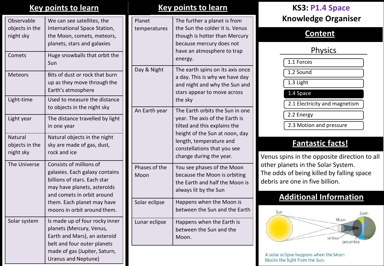| Observable<br>objects in the<br>night sky | We can see satellites, the<br>International Space Station,<br>the Moon, comets, meteors,<br>planets, stars and galaxies                                                                                             |
|-------------------------------------------|---------------------------------------------------------------------------------------------------------------------------------------------------------------------------------------------------------------------|
| Comets                                    | Huge snowballs that orbit the<br>Sun                                                                                                                                                                                |
| <b>Meteors</b>                            | Bits of dust or rock that burn<br>up as they move through the<br>Earth's atmosphere                                                                                                                                 |
| Light-time                                | Used to measure the distance<br>to objects in the night sky                                                                                                                                                         |
| Light year                                | The distance travelled by light<br>in one year                                                                                                                                                                      |
| Natural<br>objects in the<br>night sky    | Natural objects in the night<br>sky are made of gas, dust,<br>rock and ice                                                                                                                                          |
| The Universe                              | Consists of millions of<br>galaxies. Each galaxy contains<br>billions of stars. Each star<br>may have planets, asteroids<br>and comets in orbit around<br>them. Each planet may have<br>moons in orbit around them. |
| Solar system                              | Is made up of four rocky inner<br>planets (Mercury, Venus,<br>Earth and Mars), an asteroid<br>belt and four outer planets<br>made of gas (Jupiter, Saturn,<br>Uranus and Neptune)                                   |

| Planet<br>temperatures | The further a planet is from<br>the Sun the colder it is. Venus<br>though is hotter than Mercury<br>because mercury does not<br>have an atmosphere to trap<br>energy.                                                    |
|------------------------|--------------------------------------------------------------------------------------------------------------------------------------------------------------------------------------------------------------------------|
| Day & Night            | The earth spins on its axis once<br>a day. This is why we have day<br>and night and why the Sun and<br>stars appear to move across<br>the sky                                                                            |
| An Earth year          | The Earth orbits the Sun in one<br>year. The axis of the Earth is<br>tilted and this explains the<br>height of the Sun at noon, day<br>length, temperature and<br>constellations that you see<br>change during the year. |
| Phases of the<br>Moon  | You see phases of the Moon<br>because the Moon is orbiting<br>the Earth and half the Moon is<br>always lit by the Sun                                                                                                    |
| Solar eclipse          | Happens when the Moon is<br>between the Sun and the Earth                                                                                                                                                                |
| Lunar eclipse          | Happens when the Earth is<br>between the Sun and the<br>Moon.                                                                                                                                                            |

# **Key points to learn Key points to learn KS3: P1.4 Space Knowledge Organiser**

### **Content**

## **Physics**

1.1 Forces

1.2 Sound

1.3 Light

1.4 Space

2.1 Electricity and magnetism

2.2 Energy

2.3 Motion and pressure

# **Fantastic facts!**

Venus spins in the opposite direction to all other planets in the Solar System. The odds of being killed by falling space debris are one in five billion.

# **Additional Information**



A solar eclipse happens when the Moon blocks the light from the Sun.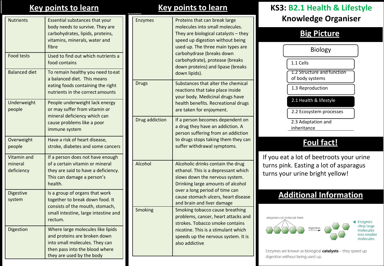| <b>Nutrients</b>                     | Essential substances that your<br>body needs to survive. They are<br>carbohydrates, lipids, proteins,<br>vitamins, minerals, water and<br>fibre                    |
|--------------------------------------|--------------------------------------------------------------------------------------------------------------------------------------------------------------------|
| <b>Food tests</b>                    | Used to find out which nutrients a<br>food contains                                                                                                                |
| <b>Balanced diet</b>                 | To remain healthy you need to eat<br>a balanced diet. This means<br>eating foods containing the right<br>nutrients in the correct amounts                          |
| Underweight<br>people                | People underweight lack energy<br>or may suffer from vitamin or<br>mineral deficiency which can<br>cause problems like a poor<br>immune system                     |
| Overweight<br>people                 | Have a risk of heart disease,<br>stroke, diabetes and some cancers                                                                                                 |
| Vitamin and<br>mineral<br>deficiency | If a person does not have enough<br>of a certain vitamin or mineral<br>they are said to have a deficiency.<br>This can damage a person's<br>health.                |
| Digestive<br>system                  | Is a group of organs that work<br>together to break down food. It<br>consists of the mouth, stomach,<br>small intestine, large intestine and<br>rectum.            |
| Digestion                            | Where large molecules like lipids<br>and proteins are broken down<br>into small molecules. They can<br>then pass into the blood where<br>they are used by the body |

| <b>Enzymes</b> | Proteins that can break large<br>molecules into small molecules.<br>They are biological catalysts - they<br>speed up digestion without being<br>used up. The three main types are<br>carbohydrase (breaks down<br>carbohydrate), protease (breaks<br>down proteins) and lipase (breaks<br>down lipids). |
|----------------|---------------------------------------------------------------------------------------------------------------------------------------------------------------------------------------------------------------------------------------------------------------------------------------------------------|
| <b>Drugs</b>   | Substances that alter the chemical<br>reactions that take place inside<br>your body. Medicinal drugs have<br>health benefits. Recreational drugs<br>are taken for enjoyment.                                                                                                                            |
| Drug addiction | If a person becomes dependent on<br>a drug they have an addiction. A<br>person suffering from an addiction<br>to drugs stops taking them they can<br>suffer withdrawal symptoms.                                                                                                                        |
| Alcohol        | Alcoholic drinks contain the drug<br>ethanol. This is a depressant which<br>slows down the nervous system.<br>Drinking large amounts of alcohol<br>over a long period of time can<br>cause stomach ulcers, heart disease<br>and brain and liver damage                                                  |
| Smoking        | Smoking tobacco cause breathing<br>problems, cancer, heart attacks and<br>strokes. Tobacco smoke contains<br>nicotine. This is a stimulant which<br>speeds up the nervous system. It is<br>also addictive                                                                                               |

# **Key points to learn Key points to learn KS3: B2.1 Health & Lifestyle Knowledge Organiser**

### **Big Picture**

Biology 1.2 Structure and function of body systems 1.3 Reproduction 2.3 Adaptation and inheritance 2.2 Ecosystem processes 1.1 Cells 2.1 Health & lifestyle

# **Foul fact!**

If you eat a lot of beetroots your urine turns pink. Easting a lot of asparagus turns your urine bright yellow!

# **Additional Information**



Enzymes are known as biological catalysts - they speed up digestion without being used up.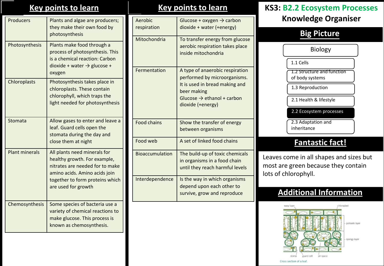| <b>Producers</b>      | Plants and algae are producers;<br>they make their own food by<br>photosynthesis                                                           |  | Aerobic<br>respiration<br>Mitochondria | Glucose + ox<br>dioxide + wa<br>To transfer e                                                                    |
|-----------------------|--------------------------------------------------------------------------------------------------------------------------------------------|--|----------------------------------------|------------------------------------------------------------------------------------------------------------------|
| Photosynthesis        | Plants make food through a<br>process of photosynthesis. This<br>is a chemical reaction: Carbon<br>dioxide + water $\rightarrow$ glucose + |  | aerobic resp<br>inside mitocl          |                                                                                                                  |
| Chloroplasts          | oxygen<br>Photosynthesis takes place in<br>chloroplasts. These contain<br>chlorophyll, which traps the<br>light needed for photosynthesis  |  | Fermentation                           | A type of ana<br>performed b<br>It is used in <b>k</b><br>beer making<br>Glucose $\rightarrow$ e<br>dioxide (+en |
| Stomata               | Allow gases to enter and leave a<br>leaf. Guard cells open the<br>stomata during the day and<br>close them at night                        |  | Food chains<br>Food web                | Show the tra<br>between org<br>A set of linke                                                                    |
| <b>Plant minerals</b> | All plants need minerals for<br>healthy growth. For example,<br>nitrates are needed for to make<br>amino acids. Amino acids join           |  | <b>Bioaccumulation</b>                 | The build-up<br>in organisms<br>until they rea                                                                   |
|                       | together to form proteins which<br>are used for growth                                                                                     |  | Interdependence                        | Is the way in<br>depend upor<br>survive, grov                                                                    |
| Chemosynthesis        | Some species of bacteria use a<br>variety of chemical reactions to<br>make glucose. This process is<br>known as chemosynthesis.            |  |                                        |                                                                                                                  |
|                       |                                                                                                                                            |  |                                        |                                                                                                                  |

# $\gamma$ gen  $\rightarrow$  carbon diter (+ energy) energy from glucose iration takes place hondria a erobic respiration by microorganisms. bread making and thanol + carbon ergy) ansfer of energy tanisms ed food chains of toxic chemicals in a food chain ach harmful levels Interace Is which organisms n each other to w and reproduce

# **Key points to learn Key points to learn KS3: B2.2 Ecosystem Processes Knowledge Organiser**

# **Big Picture**

| Biology                                       |
|-----------------------------------------------|
| 1.1 Cells                                     |
| 1.2 Structure and function<br>of body systems |
| 1.3 Reproduction                              |
| 2.1 Health & lifestyle                        |
| 2.2 Ecosystem processes                       |
| 2.3 Adaptation and<br>inheritance             |

# **Fantastic fact!**

Leaves come in all shapes and sizes but most are green because they contain lots of chlorophyll.

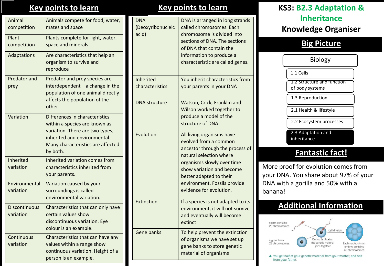| Animal<br>competition             | Animals compete for food, water,<br>mates and space                                                                                                                                 |
|-----------------------------------|-------------------------------------------------------------------------------------------------------------------------------------------------------------------------------------|
| Plant<br>competition              | Plants complete for light, water,<br>space and minerals                                                                                                                             |
| Adaptations                       | Are characteristics that help an<br>organism to survive and<br>reproduce                                                                                                            |
| Predator and<br>prey              | Predator and prey species are<br>$interdependent - a change in the$<br>population of one animal directly<br>affects the population of the<br>other                                  |
| Variation                         | Differences in characteristics<br>within a species are known as<br>variation. There are two types;<br>inherited and environmental.<br>Many characteristics are affected<br>by both. |
| Inherited<br>variation            | Inherited variation comes from<br>characteristics inherited from<br>your parents.                                                                                                   |
| Environmental<br>variation        | Variation caused by your<br>surroundings is called<br>environmental variation.                                                                                                      |
| <b>Discontinuous</b><br>variation | Characteristics that can only have<br>certain values show<br>discontinuous variation. Eye<br>colour is an example.                                                                  |
| Continuous<br>variation           | Characteristics that can have any<br>values within a range show<br>continuous variation. Height of a<br>person is an example.                                                       |

| <b>DNA</b><br>(Deoxyribonucleic<br>acid) | DNA is arranged in long strands<br>called chromosomes. Each<br>chromosome is divided into<br>sections of DNA. The sections<br>of DNA that contain the<br>information to produce a<br>characteristic are called genes. |
|------------------------------------------|-----------------------------------------------------------------------------------------------------------------------------------------------------------------------------------------------------------------------|
| <b>Inherited</b>                         | You inherit characteristics from                                                                                                                                                                                      |
| characteristics                          | your parents in your DNA                                                                                                                                                                                              |
| <b>DNA</b> structure                     | Watson, Crick, Franklin and<br>Wilson worked together to                                                                                                                                                              |
|                                          | produce a model of the                                                                                                                                                                                                |
|                                          | structure of DNA                                                                                                                                                                                                      |
| Evolution                                | All living organisms have<br>evolved from a common                                                                                                                                                                    |
|                                          | ancestor through the process of                                                                                                                                                                                       |
|                                          | natural selection where                                                                                                                                                                                               |
|                                          | organisms slowly over time<br>show variation and become                                                                                                                                                               |
|                                          | better adapted to their                                                                                                                                                                                               |
|                                          | environment. Fossils provide<br>evidence for evolution.                                                                                                                                                               |
| Extinction                               | If a species is not adapted to its<br>environment, it will not survive                                                                                                                                                |
|                                          | and eventually will become                                                                                                                                                                                            |
|                                          | extinct                                                                                                                                                                                                               |
| <b>Gene banks</b>                        | To help prevent the extinction<br>of organisms we have set up                                                                                                                                                         |
|                                          | gene banks to store genetic                                                                                                                                                                                           |
|                                          | material of organisms                                                                                                                                                                                                 |
|                                          |                                                                                                                                                                                                                       |

# **Key points to learn Key points to learn KS3: B2.3 Adaptation & Inheritance Knowledge Organiser**

## **Big Picture**

| <b>Biology</b>                                |  |  |  |  |  |  |
|-----------------------------------------------|--|--|--|--|--|--|
| 1.1 Cells                                     |  |  |  |  |  |  |
| 1.2 Structure and function<br>of body systems |  |  |  |  |  |  |
| 1.3 Reproduction                              |  |  |  |  |  |  |
| 2.1 Health & lifestyle                        |  |  |  |  |  |  |
| 2.2 Ecosystem processes                       |  |  |  |  |  |  |
| 2.3 Adaptation and<br>inheritance             |  |  |  |  |  |  |
| <b>Fantastic fact!</b>                        |  |  |  |  |  |  |
| More proof for evolution comes from           |  |  |  |  |  |  |

your DNA. You share about 97% of your DNA with a gorilla and 50% with a banana!

# **Additional Information**



▲ You get half of your genetic material from your mother, and half from your father.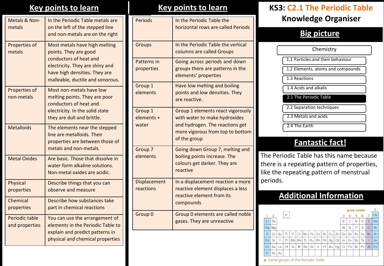| Metals & Non-<br>metals          | In the Periodic Table metals are<br>on the left of the stepped line<br>and non-metals are on the right                                                                                   |
|----------------------------------|------------------------------------------------------------------------------------------------------------------------------------------------------------------------------------------|
| Properties of<br>metals          | Most metals have high melting<br>points. They are good<br>conductors of heat and<br>electricity. They are shiny and<br>have high densities. They are<br>malleable, ductile and sonorous. |
| Properties of<br>non-metals      | Most non-metals have low<br>melting points. They are poor<br>conductors of heat and<br>electricity. In the solid state<br>they are dull and brittle.                                     |
| <b>Metalloids</b>                | The elements near the stepped<br>line are metalloids. Their<br>properties are between those of<br>metals and non-metals.                                                                 |
| <b>Metal Oxides</b>              | Are basic. Those that dissolve in<br>water form alkaline solutions.<br>Non-metal oxides are acidic.                                                                                      |
| <b>Physical</b><br>properties    | Describe things that you can<br>observe and measure                                                                                                                                      |
| Chemical<br>properties           | Describe how substances take<br>part in chemical reactions                                                                                                                               |
| Periodic table<br>and properties | You can use the arrangement of<br>elements in the Periodic Table to<br>explain and predict patterns in<br>physical and chemical properties                                               |

| Periods                        | In the Periodic Table the<br>horizontal rows are called Periods                                                                                           |
|--------------------------------|-----------------------------------------------------------------------------------------------------------------------------------------------------------|
| Groups                         | In the Periodic Table the vertical<br>columns are called Groups                                                                                           |
| Patterns in<br>properties      | Going across periods and down<br>groups there are patterns in the<br>elements' properties                                                                 |
| Group 1<br>elements            | Have low melting and boiling<br>points and low densities. They<br>are reactive.                                                                           |
| Group 1<br>elements +<br>water | Group 1 elements react vigorously<br>with water to make hydroxides<br>and hydrogen. The reactions get<br>more vigorous from top to bottom<br>of the group |
| Group 7<br>elements            | Going down Group 7, melting and<br>boiling points increase. The<br>colours get darker. They are<br>reactive                                               |
| Displacement<br>reactions      | In a displacement reaction a more<br>reactive element displaces a less<br>reactive element from its<br>compounds                                          |
| Group 0                        | Group 0 elements are called noble<br>gases. They are unreactive                                                                                           |

# **Key points to learn Key points to learn KS3: C2.1 The Periodic Table Knowledge Organiser**

# **Big picture**

| Chemistry                         |
|-----------------------------------|
| 1.1 Particles and their behaviour |
| 1.2 Elements, atoms and compounds |
| 1.3 Reactions                     |
| 1.4 Acids and alkalis             |
| 2.1 The Periodic Table            |
| 2.2 Separation techniques         |
| 2.3 Metals and acids              |
| 2.4 The Earth                     |

### **Fantastic fact!**

The Periodic Table has this name because there is a repeating pattern of properties, like the repeating pattern of menstrual periods.

|           |                |    |    |           |                |    |    |     |    |    |    |    |    |    | group number |    | 0         |
|-----------|----------------|----|----|-----------|----------------|----|----|-----|----|----|----|----|----|----|--------------|----|-----------|
|           | $\overline{2}$ |    | Η  |           |                |    |    |     |    |    |    |    |    | 5  | 6            |    | He        |
| Li        | Be             |    |    |           |                |    |    |     |    |    |    | B  | С  | N  | Ο            | F  | <b>Ne</b> |
| Na        | Mg             |    |    |           |                |    |    |     |    |    |    | AI | Si | P  | S            | C1 | Ar        |
| Κ         | Ca             | Sc | Ti | ٧         | Cr             | Mn | Fe | Co  | Ni | Cu | Zn | Ga | Ge | As | Se           | Br | Kr        |
| <b>Rb</b> | Sr             | Y  | Zr | <b>Nb</b> | M <sub>o</sub> | Tc | Ru | Rh  | Pd | Ag | Cd | In | Sn | Sb | Te           |    | Xe        |
| Cs        | Ba             | La | Hf | Ta        | W              | Re | Os | Ir. | Pt | Au | Hg | TI | Pb | Bi | Po           | At | Rn        |
| Fr        | Ra             | Ac |    |           |                |    |    |     |    |    |    |    |    |    |              |    |           |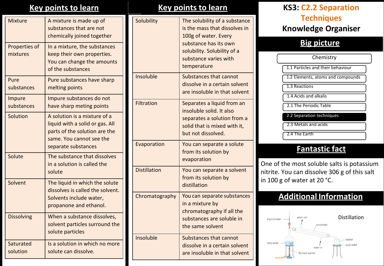| <b>Mixture</b>            | A mixture is made up of<br>substances that are not<br>chemically joined together                                                                    |
|---------------------------|-----------------------------------------------------------------------------------------------------------------------------------------------------|
| Properties of<br>mixtures | In a mixture, the substances<br>keep their own properties.<br>You can change the amounts<br>of the substances                                       |
| Pure<br>substances        | Pure substances have sharp<br>melting points                                                                                                        |
| Impure<br>substances      | Impure substances do not<br>have sharp meting points                                                                                                |
| Solution                  | A solution is a mixture of a<br>liquid with a solid or gas. All<br>parts of the solution are the<br>same. You cannot see the<br>separate substances |
| Solute                    | The substance that dissolves<br>in a solution is called the<br>solute                                                                               |
| Solvent                   | The liquid in which the solute<br>dissolves is called the solvent.<br>Solvents include water,<br>propanone and ethanol.                             |
| <b>Dissolving</b>         | When a substance dissolves,<br>solvent particles surround the<br>solute particles                                                                   |
| Saturated<br>solution     | Is a solution in which no more<br>solute can dissolve.                                                                                              |

| Solubility          | The solubility of a substance<br>is the mass that dissolves in<br>100g of water. Every<br>substance has its own<br>solubility. Solubility of a<br>substance varies with<br>temperature |
|---------------------|----------------------------------------------------------------------------------------------------------------------------------------------------------------------------------------|
| Insoluble           | Substances that cannot<br>dissolve in a certain solvent<br>are insoluble in that solvent                                                                                               |
| <b>Filtration</b>   | Separates a liquid from an<br>insoluble solid. It also<br>separates a solution from a<br>solid that is mixed with it,<br>but not dissolved.                                            |
| Evaporation         | You can separate a solute<br>from its solution by<br>evaporation                                                                                                                       |
| <b>Distillation</b> | You can separate a solvent<br>from its solution by<br>distillation                                                                                                                     |
| Chromatography      | You can separate substances<br>in a mixture by<br>chromatography if all the<br>substances are soluble in<br>the same solvent                                                           |
| Insoluble           | Substances that cannot<br>dissolve in a certain solvent<br>are insoluble in that solvent                                                                                               |

# **Key points to learn Key points to learn KS3: C2.2 Separation Techniques Knowledge Organiser**

## **Big picture**

| Chemistry                         |
|-----------------------------------|
| 1.1 Particles and their behaviour |
| 1.2 Elements, atoms and compounds |
| $1.3$ Reactions                   |
| 1.4 Acids and alkalis             |
| 2.1 The Periodic Table            |
| 2.2 Separation techniques         |
| 2.3 Metals and acids              |
| 2.4 The Earth                     |

# **Fantastic fact**

One of the most soluble salts is potassium nitrite. You can dissolve 306 g of this salt in 100 g of water at 20 °C.

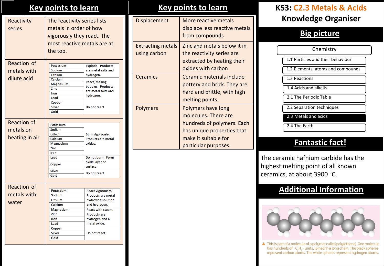## **Key points to learn Key points to learn**

| Reactivity<br>series                              | The reactivity series lists<br>metals in order of how<br>vigorously they react. The<br>most reactive metals are at<br>the top. |                                                                                                                                                                              |
|---------------------------------------------------|--------------------------------------------------------------------------------------------------------------------------------|------------------------------------------------------------------------------------------------------------------------------------------------------------------------------|
| <b>Reaction of</b><br>metals with<br>dilute acid  | Potassium<br>Sodium<br>Lithium<br>Calcium<br>Magnesium<br>Zinc<br>Iron<br>Lead<br>Copper<br>Silver<br>Gold                     | <b>Explode. Products</b><br>are metal salts and<br>hydrogen.<br>React, making<br>bubbles. Products<br>are metal salts and<br>hydrogen.<br>Do not react                       |
| <b>Reaction of</b><br>metals on<br>heating in air | Potassium<br>Sodium<br>Lithium<br>Calcium<br>Magnesium<br>Zinc<br>Iron<br>Lead<br>Copper<br>Silver<br>Gold                     | Burn vigorously.<br>Products are metal<br>oxides.<br>Do not burn. Form<br>oxide layer on<br>surface.<br>Do not react                                                         |
| Reaction of<br>metals with<br>water               | Potassium<br>Sodium<br>Lithium<br>Calcium<br>Magnesium<br>Zinc<br>Iron<br>Lead<br>Copper<br><b>Silver</b><br>Gold              | React vigorously.<br>Products are metal<br>hydroxide solution<br>and hydrogen.<br>React with steam.<br><b>Products are</b><br>hydrogen and a<br>metal oxide.<br>Do not react |

| Displacement                             | More reactive metals<br>displace less reactive metals<br>from compounds                                                                                |
|------------------------------------------|--------------------------------------------------------------------------------------------------------------------------------------------------------|
| <b>Extracting metals</b><br>using carbon | Zinc and metals below it in<br>the reactivity series are<br>extracted by heating their<br>oxides with carbon                                           |
| Ceramics                                 | Ceramic materials include<br>pottery and brick. They are<br>hard and brittle, with high<br>melting points.                                             |
| <b>Polymers</b>                          | Polymers have long<br>molecules. There are<br>hundreds of polymers. Each<br>has unique properties that<br>make it suitable for<br>particular purposes. |

# **KS3: C2.3 Metals & Acids Knowledge Organiser**

### **Big picture**

1.1 Particles and their behaviour 1.2 Elements, atoms and compounds 1.4 Acids and alkalis 2.1 The Periodic Table 2.3 Metals and acids 1.3 Reactions **Chemistry** 2.2 Separation techniques

### **Fantastic fact!**

The ceramic hafnium carbide has the highest melting point of all known ceramics, at about 3900 °C.

2.4 The Earth

# **Additional Information**



art of a molecule of a polymer called poly (ethene). One molecule has hundreds of -C<sub>2</sub>H<sub>1</sub>- units, joined in a long chain. The black spheres represent carbon atoms. The white spheres represent hydrogen atoms.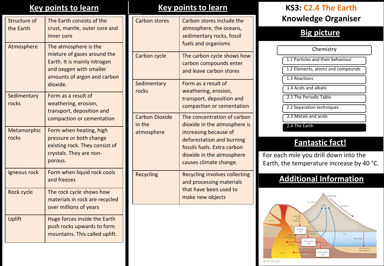| Structure of<br>the Earth | The Earth consists of the<br>crust, mantle, outer core and<br>inner core                                                                                   |
|---------------------------|------------------------------------------------------------------------------------------------------------------------------------------------------------|
| Atmosphere                | The atmosphere is the<br>mixture of gases around the<br>Earth. It is mainly nitrogen<br>and oxygen with smaller<br>amounts of argon and carbon<br>dioxide. |
| Sedimentary<br>rocks      | Form as a result of<br>weathering, erosion,<br>transport, deposition and<br>compaction or cementation                                                      |
| Metamorphic<br>rocks      | Form when heating, high<br>pressure or both change<br>existing rock. They consist of<br>crystals. They are non-<br>porous.                                 |
| Igneous rock              | Form when liquid rock cools<br>and freezes                                                                                                                 |
| Rock cycle                | The rock cycle shows how<br>materials in rock are recycled<br>over millions of years                                                                       |
| Uplift                    | Huge forces inside the Earth<br>push rocks upwards to form<br>mountains. This called uplift.                                                               |

# **Key points to learn Key points to learn KS3: C2.4 The Earth**

| <b>Carbon stores</b>                          | Carbon stores include the<br>atmosphere, the oceans,<br>sedimentary rocks, fossil<br>fuels and organisms                                                                                                |
|-----------------------------------------------|---------------------------------------------------------------------------------------------------------------------------------------------------------------------------------------------------------|
| Carbon cycle                                  | The carbon cycle shows how<br>carbon compounds enter<br>and leave carbon stores                                                                                                                         |
| Sedimentary<br>rocks                          | Form as a result of<br>weathering, erosion,<br>transport, deposition and<br>compaction or cementation                                                                                                   |
| <b>Carbon Dioxide</b><br>in the<br>atmosphere | The concentration of carbon<br>dioxide in the atmosphere is<br>increasing because of<br>deforestation and burning<br>fossils fuels. Extra carbon<br>dioxide in the atmosphere<br>causes climate change. |
| <b>Recycling</b>                              | <b>Recycling involves collecting</b><br>and processing materials<br>that have been used to<br>make new objects                                                                                          |

# **Knowledge Organiser**

### **Big picture**

1.1 Particles and their behaviour 1.2 Elements, atoms and compounds 1.4 Acids and alkalis 2.1 The Periodic Table 2.3 Metals and acids 1.3 Reactions **Chemistry** 2.2 Separation techniques

2.4 The Earth

# **Fantastic fact!**

For each mile you drill down into the Earth, the temperature increase by 40 °C.

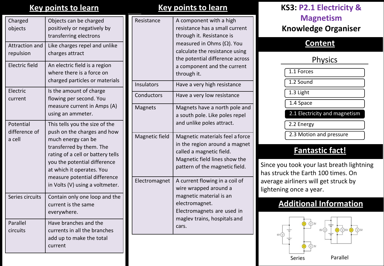### **Key points to learn**

| Charged<br>objects                   | Objects can be charged<br>positively or negatively by<br>transferring electrons                                                                                                                                                                                                      |
|--------------------------------------|--------------------------------------------------------------------------------------------------------------------------------------------------------------------------------------------------------------------------------------------------------------------------------------|
| Attraction and<br>repulsion          | Like charges repel and unlike<br>charges attract                                                                                                                                                                                                                                     |
| Electric field                       | An electric field is a region<br>where there is a force on<br>charged particles or materials                                                                                                                                                                                         |
| Electric<br>current                  | Is the amount of charge<br>flowing per second. You<br>measure current in Amps (A)<br>using an ammeter.                                                                                                                                                                               |
| Potential<br>difference of<br>a cell | This tells you the size of the<br>push on the charges and how<br>much energy can be<br>transferred by them. The<br>rating of a cell or battery tells<br>you the potential difference<br>at which it operates. You<br>measure potential difference<br>in Volts (V) using a voltmeter. |
| Series circuits                      | Contain only one loop and the<br>current is the same<br>everywhere.                                                                                                                                                                                                                  |
| Parallel<br>circuits                 | Have branches and the<br>currents in all the branches<br>add up to make the total<br>current                                                                                                                                                                                         |

## **Key points to learn**

| Have a very high resistance<br>Have a very low resistance<br>Magnets have a north pole and                                                                      |
|-----------------------------------------------------------------------------------------------------------------------------------------------------------------|
|                                                                                                                                                                 |
|                                                                                                                                                                 |
| a south pole. Like poles repel<br>and unlike poles attract.                                                                                                     |
| Magnetic materials feel a force<br>in the region around a magnet<br>called a magnetic field.<br>Magnetic field lines show the<br>pattern of the magnetic field. |
| A current flowing in a coil of<br>wire wrapped around a<br>magnetic material is an<br>electromagnet.<br>Electromagnets are used in                              |
|                                                                                                                                                                 |

# **KS3: P2.1 Electricity & Magnetism Knowledge Organiser**

### **Content**

### **Physics**

| 1.1 Forces                    |
|-------------------------------|
| 1.2 Sound                     |
| 1.3 Light                     |
| 1.4 Space                     |
| 2.1 Electricity and magnetism |
| 2.2 Energy                    |

2.3 Motion and pressure

# **Fantastic fact!**

Since you took your last breath lightning has struck the Earth 100 times. On average airliners will get struck by lightening once a year.

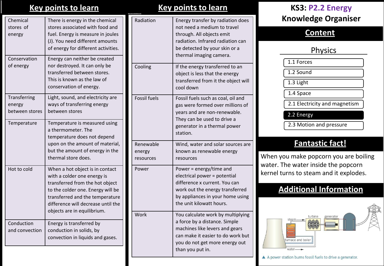| <b>Key points to learn</b> |  |
|----------------------------|--|
|----------------------------|--|

| Chemical<br>stores of<br>energy          | There is energy in the chemical<br>stores associated with food and<br>fuel. Energy is measure in joules<br>(J). You need different amounts<br>of energy for different activities.                                                              |   |
|------------------------------------------|------------------------------------------------------------------------------------------------------------------------------------------------------------------------------------------------------------------------------------------------|---|
| Conservation<br>of energy                | Energy can neither be created<br>nor destroyed. It can only be<br>transferred between stores.<br>This is known as the law of<br>conservation of energy.                                                                                        |   |
| Transferring<br>energy<br>between stores | Light, sound, and electricity are<br>ways of transferring energy<br>between stores                                                                                                                                                             | F |
| Temperature                              | Temperature is measured using<br>a thermometer. The<br>temperature does not depend<br>upon on the amount of material,<br>but the amount of energy in the<br>thermal store does.                                                                |   |
| Hot to cold                              | When a hot object is in contact<br>with a colder one energy is<br>transferred from the hot object<br>to the colder one. Energy will be<br>transferred and the temperature<br>difference will decrease until the<br>objects are in equilibrium. | F |
| Conduction<br>and convection             | Energy is transferred by<br>conduction in solids, by<br>convection in liquids and gases.                                                                                                                                                       |   |
|                                          |                                                                                                                                                                                                                                                |   |

| Radiation                        | Energy transfer by radiation does<br>not need a medium to travel<br>through. All objects emit<br>radiation. Infrared radiation can<br>be detected by your skin or a<br>thermal imaging camera.  |
|----------------------------------|-------------------------------------------------------------------------------------------------------------------------------------------------------------------------------------------------|
| Cooling                          | If the energy transferred to an<br>object is less that the energy<br>transferred from it the object will<br>cool down                                                                           |
| <b>Fossil fuels</b>              | Fossil fuels such as coal, oil and<br>gas were formed over millions of<br>years and are non-renewable.<br>They can be used to drive a<br>generator in a thermal power<br>station.               |
| Renewable<br>energy<br>resources | Wind, water and solar sources are<br>known as renewable energy<br>resources                                                                                                                     |
| Power                            | Power = energy/time and<br>electrical power = potential<br>difference x current. You can<br>work out the energy transferred<br>by appliances in your home using<br>the unit kilowatt hours.     |
| Work                             | You calculate work by multiplying<br>a force by a distance. Simple<br>machines like levers and gears<br>can make it easier to do work but<br>you do not get more energy out<br>than you put in. |

# **Key points to learn Key points to learn KS3: P2.2 Energy Knowledge Organiser**

### **Content**

# **Physics**

1.1 Forces

1.2 Sound

1.3 Light

1.4 Space

2.1 Electricity and magnetism

2.2 Energy

2.3 Motion and pressure

# **Fantastic fact!**

When you make popcorn you are boiling water. The water inside the popcorn kernel turns to steam and it explodes.

# **Additional Information**



A power station burns fossil fuels to drive a generator.